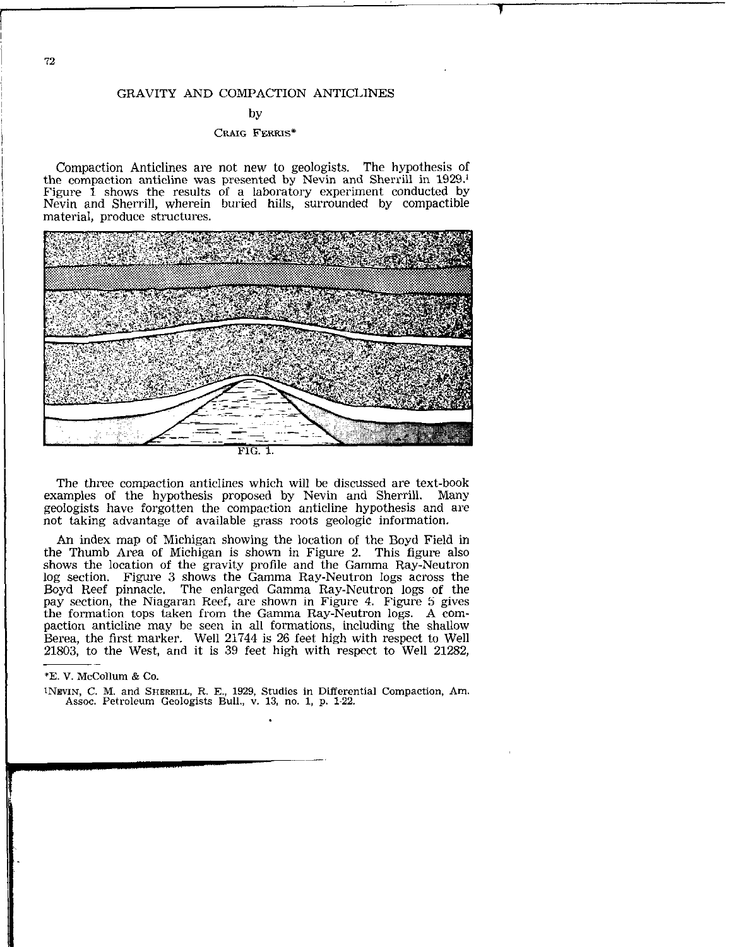# by

# CRAIG FERRIS\*

Compaction Anticlines are not new to geologists. The hypothesis of the compaction anticline was presented by Nevin and Sherrill in 1929.' Figure  $\hat{1}$  shows the results of a laboratory experiment conducted by Nevin and Sherrill, wherein buried hills, surrounded by compactible material, produce structures.



The three compaction anticlines which will be discussed are text-book examples of the hypothesis proposed by Nevin and Sherrill. Many geologists have forgotten the compaction anticline hypothesis and are not taking advantage of available grass roots geologic information.

An index map of Michigan showing the location of the Boyd Field in the Thumb Area of Michigan is shown in Figure 2. This figure also shows the location of the gravity profile and the Gamma Ray-Neutro log section. Figure 3 shows the Gamma Ray-Neutron logs across the Boyd Reef pinnacle. The enlarged Gamma Ray-Neutron logs of the pay section, the Niagaran Reef, are shown in Figure 4. Figure 5 gives the formation tops taken from the Gamma Ray-Neutron logs. A compaction anticline may be seen in all formations, including the shallow Berea, the first marker. Well 21744 is 26 feet high with respect to Well 21803, to the West, and it is 39 feet high with respect to Well 21282,

## 'E. V. McCollum & Co.

INWIN, C. M. and SHERRILL, R. E., 1929, Studies in Differential Compaction, Am. Assoc. Petroleum Geologists Bull., v. 13, no. 1, p. l-22.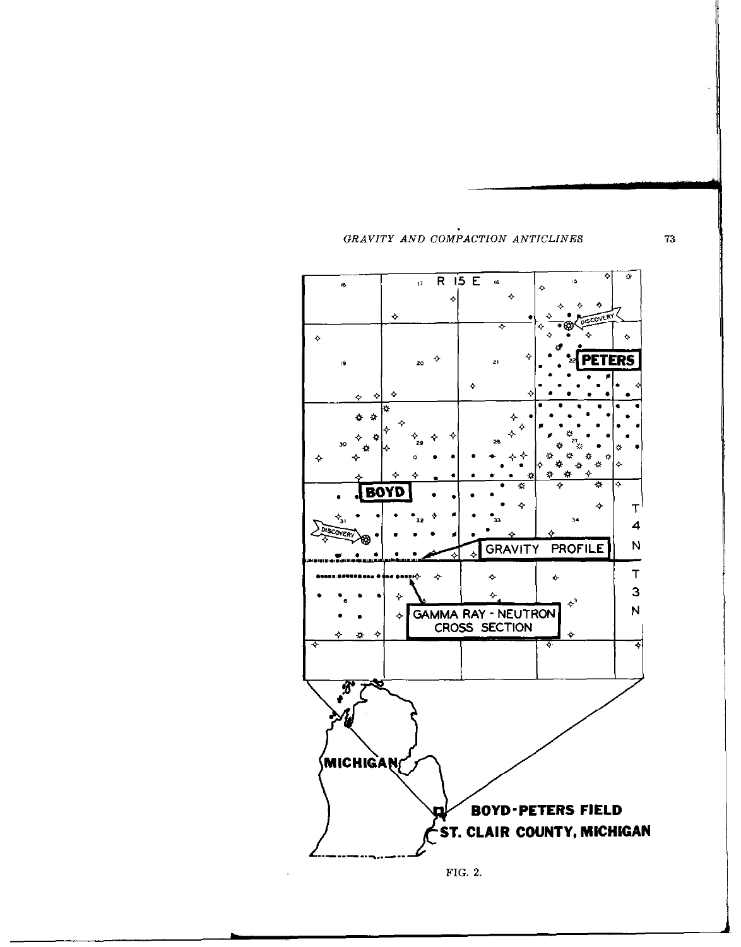



 $73\,$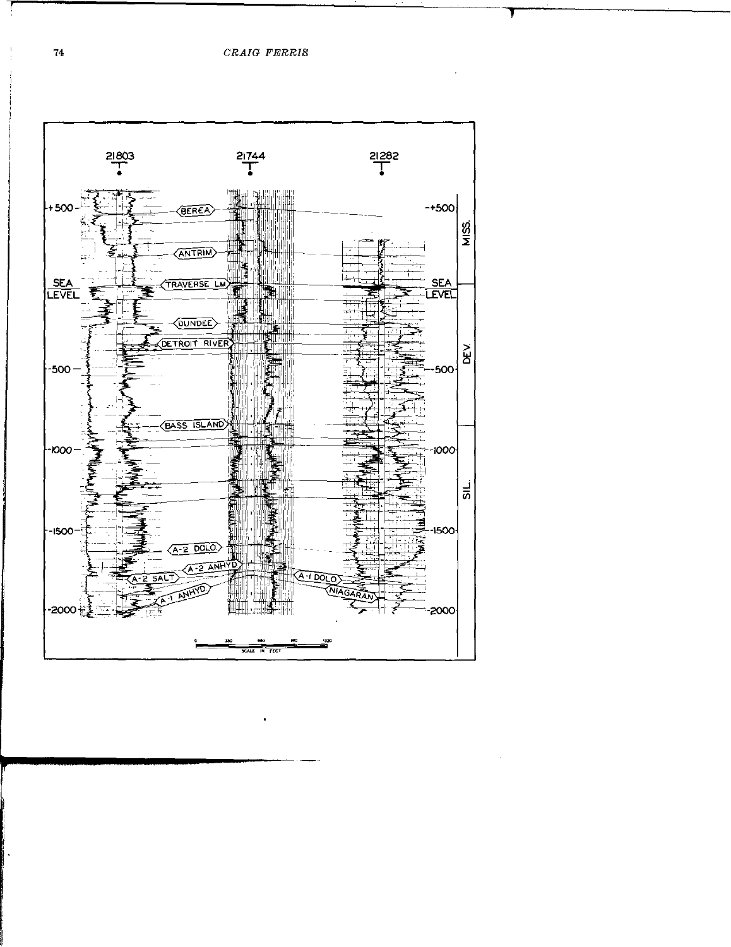

 $\bullet$ 

 $\sim$ 

 ${\bf 74}$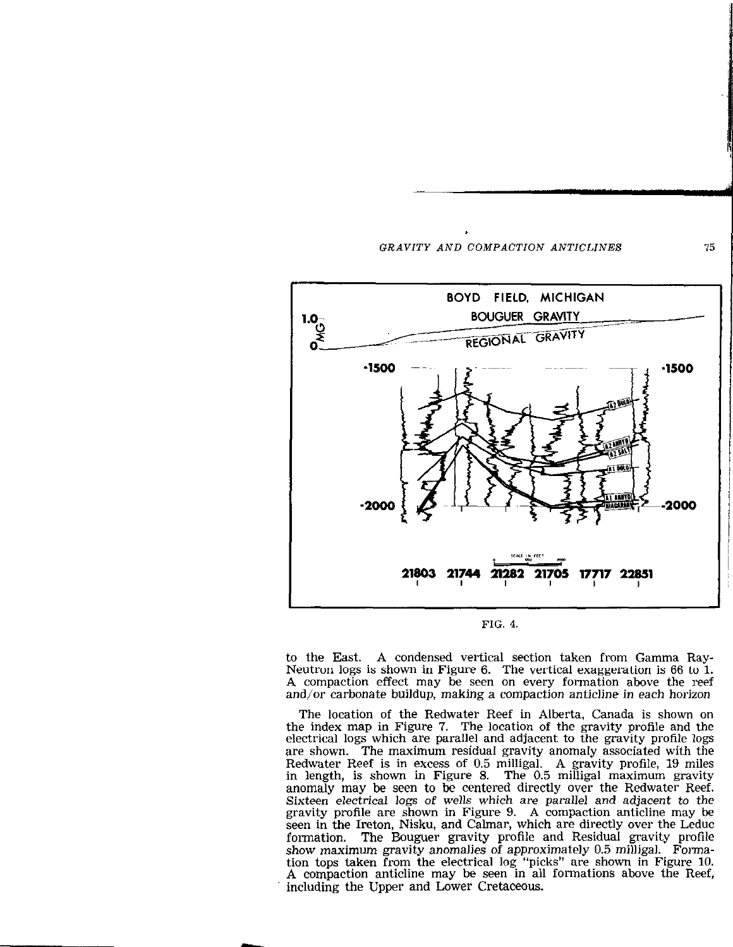

FIG. 4

to the East. A condensed vertical section taken from Gamma Ray-Neutron logs is shown in Figure 6. The vertical exaggeration is 66 to 1. A compaction effect may be seen on every formation above the reef and/or carbonate buildup, making a compaction anticline in each horizon

The location of the Redwater Reef in Alberta, Canada is shown on the index map in Figure 7. The location of the gravity profile and the electrical logs which are parallel and adjacent to the gravity profile logs are shown. The maximum residual gravity anomaly associated with the Redwater Reef is in excess of 0.5 milligal. A gravity profile, 19 miles in length, is shown in Figure 8. The 0.5 milligal maximum gravity anomaly may be seen to be centered directly over the Redwater Reef. Sixteen electrical logs of wells which are parallel and adjacent to the gravity profile are shown in Figure 9. A compaction anticline may be seen in the Ireton, Nisku, and Calmar, which are directly over the Leduc formation. The Bouguer gravity profile and Residual gravity profile show maximum gravity anomalies of approximately 0.5 milligal. Formation tops taken from the electrical log "picks" are shown in Figure 10. A compaction anticline may be seen in all formations above the Reef, including the Upper and Lower Cretaceous.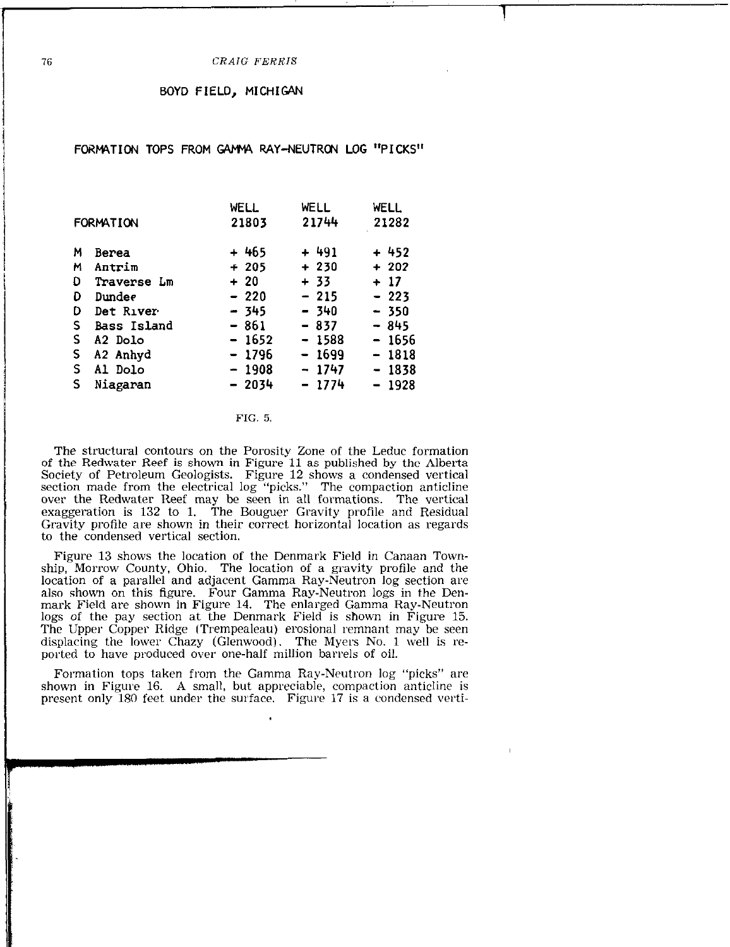1

## BOYD FIELD, MICHIGAN

# FORMATION TOPS FROM GAMMA RAY-NEUTRON LOG "PICKS"

| <b>FORMATION</b> |             | WELL<br>21803 | WELL<br>21744 | <b>WELL</b><br>21282 |  |
|------------------|-------------|---------------|---------------|----------------------|--|
| M                | Berea       | + 465         | + 491         | $+452$               |  |
| м                | Antrim      | $+205$        | $+230$        | $+202$               |  |
| Đ                | Traverse Lm | $+20$         | + 33          | $+17$                |  |
| D                | Dundee      | $-220$        | $-215$        | $-223$               |  |
| D                | Det River   | - 345         | - 340         | $-350$               |  |
| S.               | Bass Island | $-861$        | $-837$        | - 845                |  |
| s                | A2 Dolo     | $-1652$       | $-1588$       | $-1656$              |  |
| S                | A2 Anhyd    | - 1796        | $-1699$       | $-1818$              |  |
| S                | Al Dolo     | $-1908$       | $-1747$       | $-1838$              |  |
| S                | Niagaran    | $-2034$       | $-1774$       | $-1928$              |  |
|                  |             |               |               |                      |  |

### FIG. 5.

The structural contours on the Porosity Zone of the Leduc formation of the Redwater Reef is shown in Figure 11 as published by the Alberta Society of Petroleum Geologists. Figure 12 shows a condensed vertical section made from the electrical log "picks." The compaction anticline over the Redwater Reef may be seen in all formations. The vertica exaggeration is 132 to 1. The Bouguer Gravity profile and Residual Gravity profile are shown in their correct horizontal location as regards to the condensed vertical section.

Figure 13 shows the location of the Denmark Field in Canaan Township, Morrow County, Ohio. The location of a gravity profile and the location of a parallel and adjacent Gamma Ray-Neutron log section are also shown on this figure. Four Gamma Ray-Neutron logs in the Denmark Field are shown in Figure 14. The enlarged Gamma Ray-Neutron logs of the pay section at the Denmark Field is shown in Figure 15. The Upper Copper Ridge (Trempealeau) erosional remnant may be seen displacing the lower Chazy (Glenwood). The Myers No. 1 well is reported to have produced over one-half million barrels of oil.

Formation tops taken from the Gamma Ray-Neutron log "picks" are shown in Figure 16. A small, but appreciable, compaction anticline is present only 180 feet under the surface. Figure 17 is a condensed verti-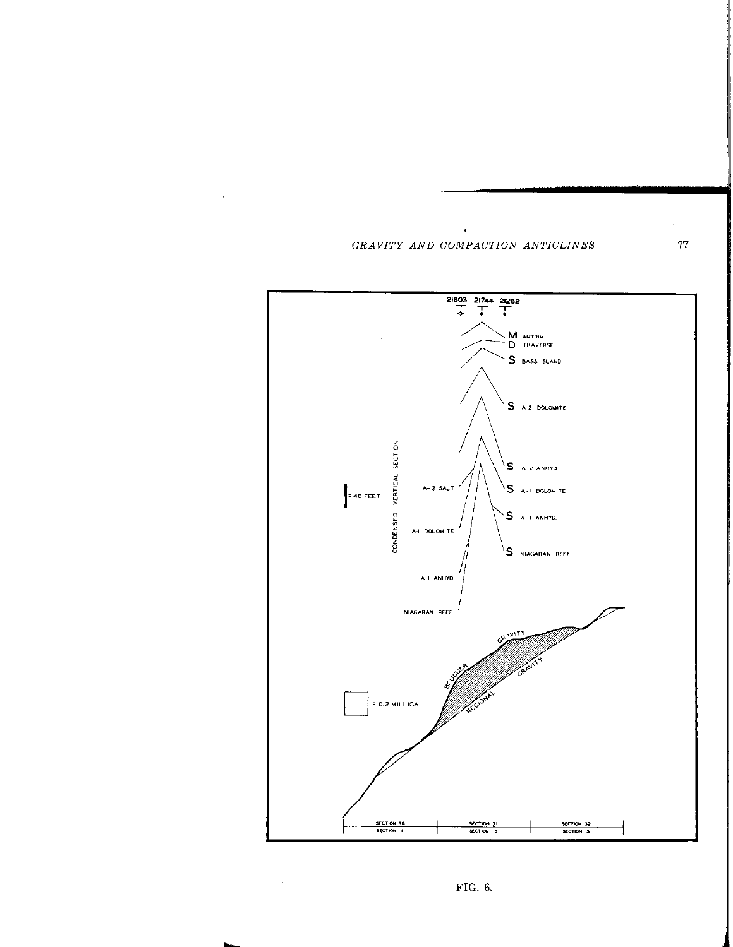$\lambda$ 

 $\alpha$ 





 $\sim 10^{-10}$ 

 ${\bf 77}$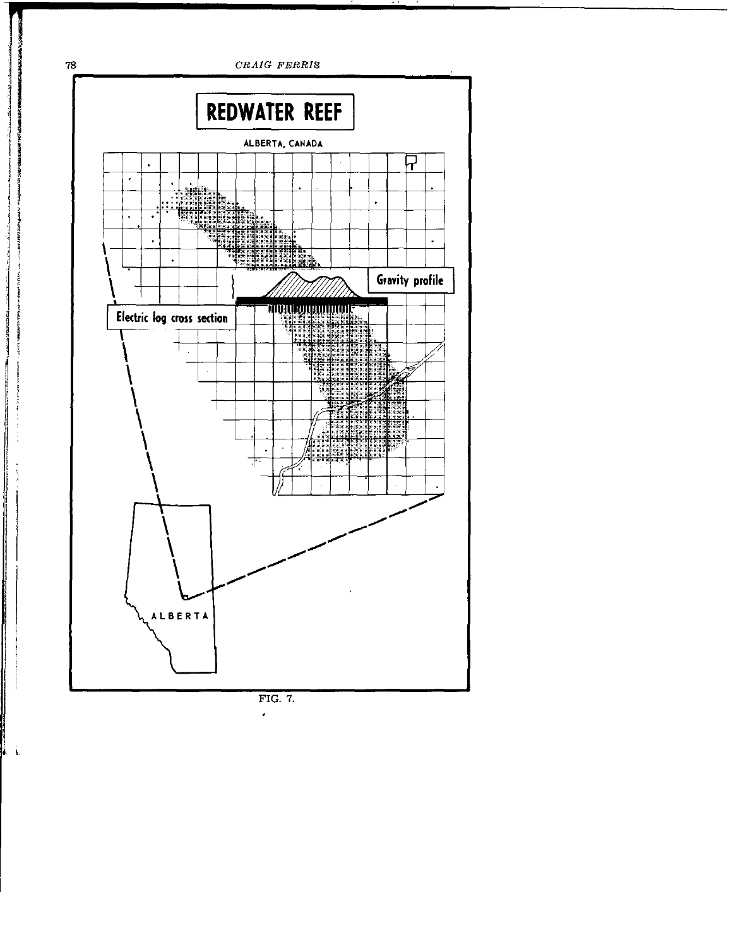

l.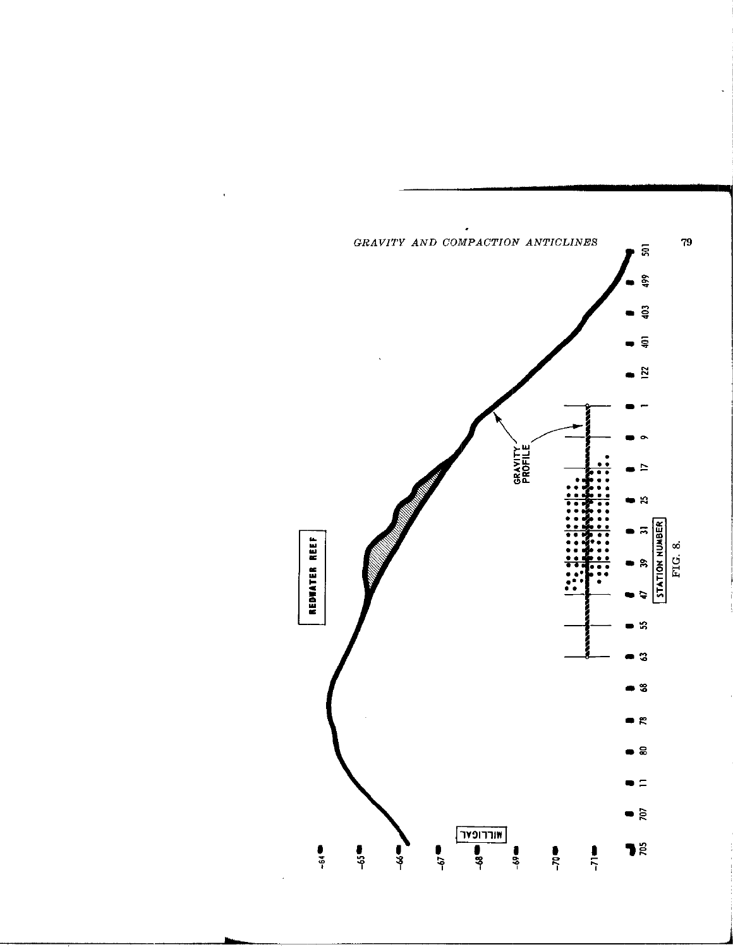

 $\hat{\mathbf{r}}$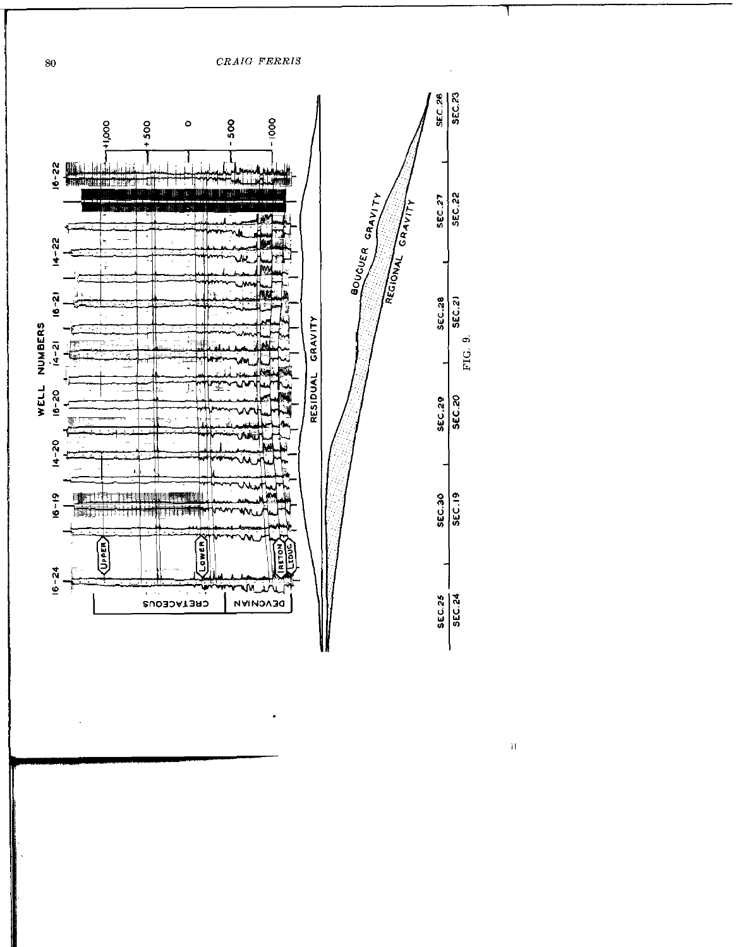

 $\frac{1}{4}$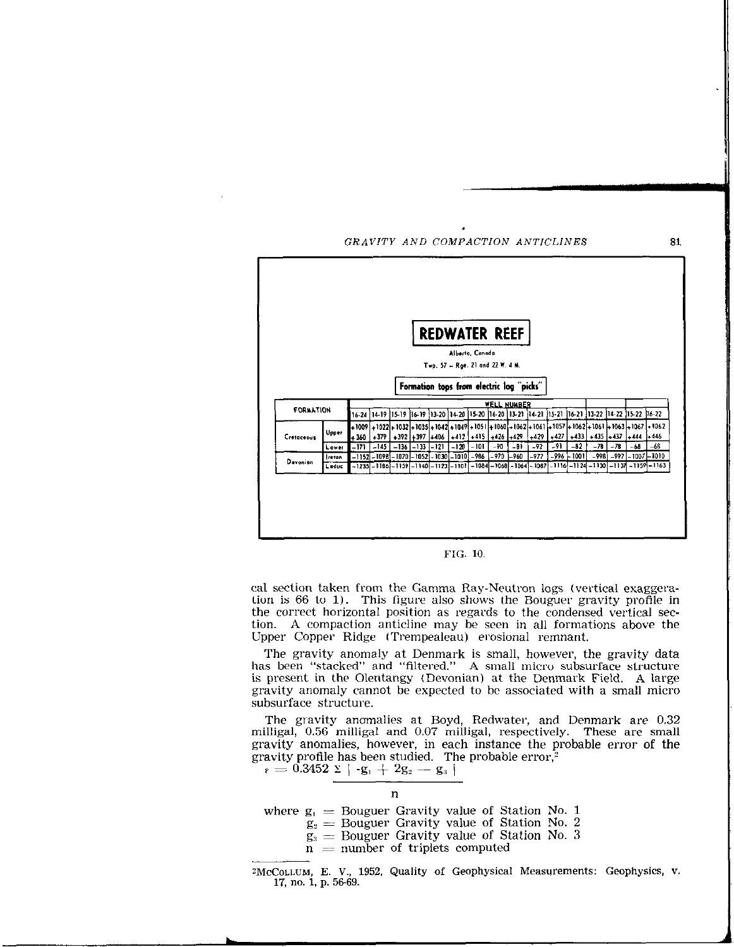



cal section taken from the Gamma Ray-Neutron logs (vertical exaggeration is 66 to 1). This figure also shows the Bouguer gravity profile in the correct horizontal position as regards to the condensed vertical section. A compaction anticline may be seen in all formations above the Upper Copper Ridge (Trempealeau) erosional remnant.

The gravity anomaly at Denmark is small, however, the gravity data has been "stacked" and "filtered." A small micro subsurface structure is present in the Olentangy (Devonian) at the Denmark Field. A large gravity anomaly cannot be expected to be associated with a small micro subsurface structure.

The gravity anomalies at Boyd, Redwater, and Denmark are 0.32 milligal, 0.56 milligal and 0.07 milligal, respectively. These are small gravity anomalies, however, in each instance the probable error of the gravity profile has been studied. The probable error, $\frac{1}{2}$ 

 $\mathbf{p}_8 = 0.3452 \times | \cdot \mathbf{g}_1 + 2\mathbf{g}_2 - \mathbf{g}_3 |$ 



where  $g_1 =$  Bouguer Gravity value of Station No. 1

 $g_3$  = Bouguer Gravity value of Station No. 2

- $g_3$  = Bouguer Gravity value of Station No. 3
- $n = number of triplets computed$

<sup>2</sup>McCOLLUM, E. V., 1952, Quality of Geophysical Measurements: Geophysics, v. 17, no. 1, p. 56-69.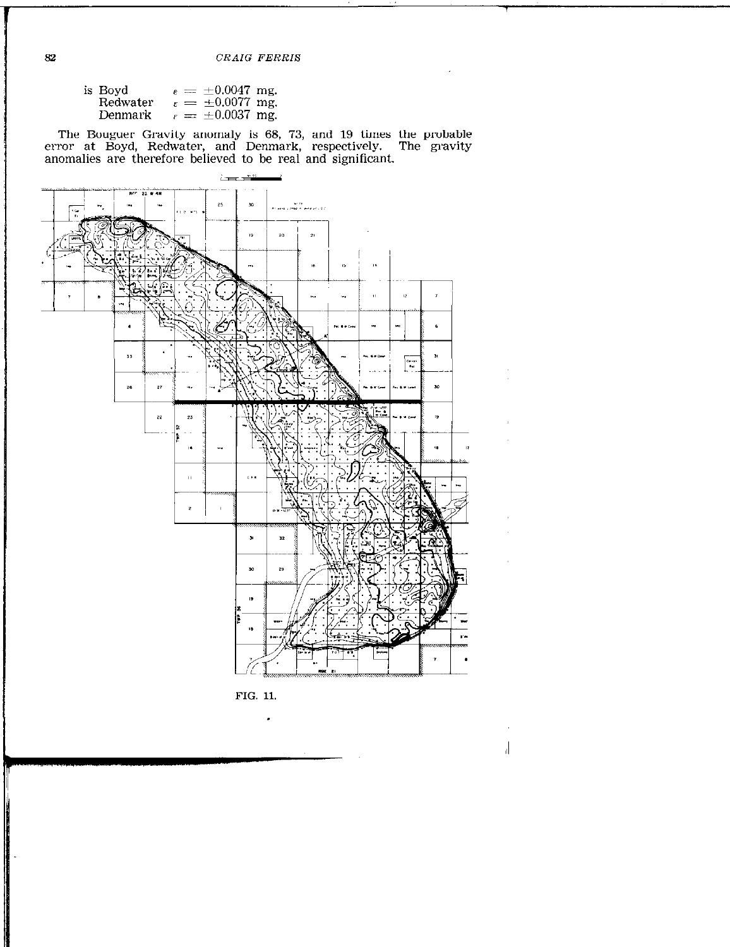| is Boyd  |  | $\varepsilon = \pm 0.0047$ mg. |  |
|----------|--|--------------------------------|--|
| Redwater |  | $\epsilon = \pm 0.0077$ mg.    |  |
| Denmark  |  | $\epsilon = \pm 0.0037$ mg.    |  |

The Bouguer Gravity anomaly is 68, 73, and 19 times the probable<br>error at Boyd, Redwater, and Denmark, respectively. The gravity<br>anomalies are therefore believed to be real and significant.





 $\bullet$ 

 $\left\lvert \right\rvert$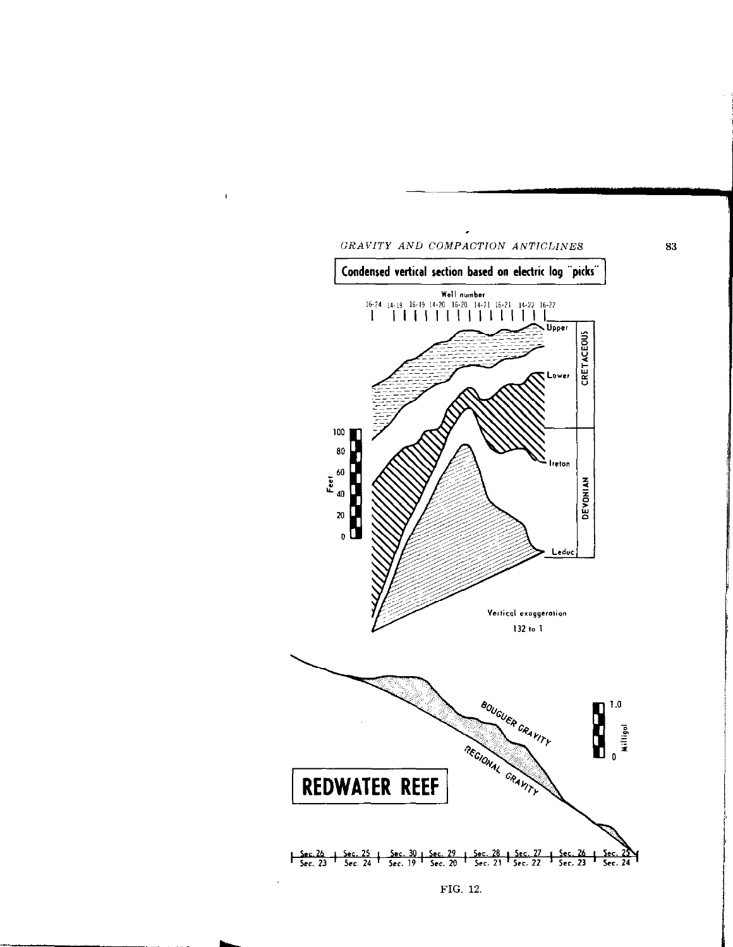

 $\mathbf{I}$ 



FIG. 12.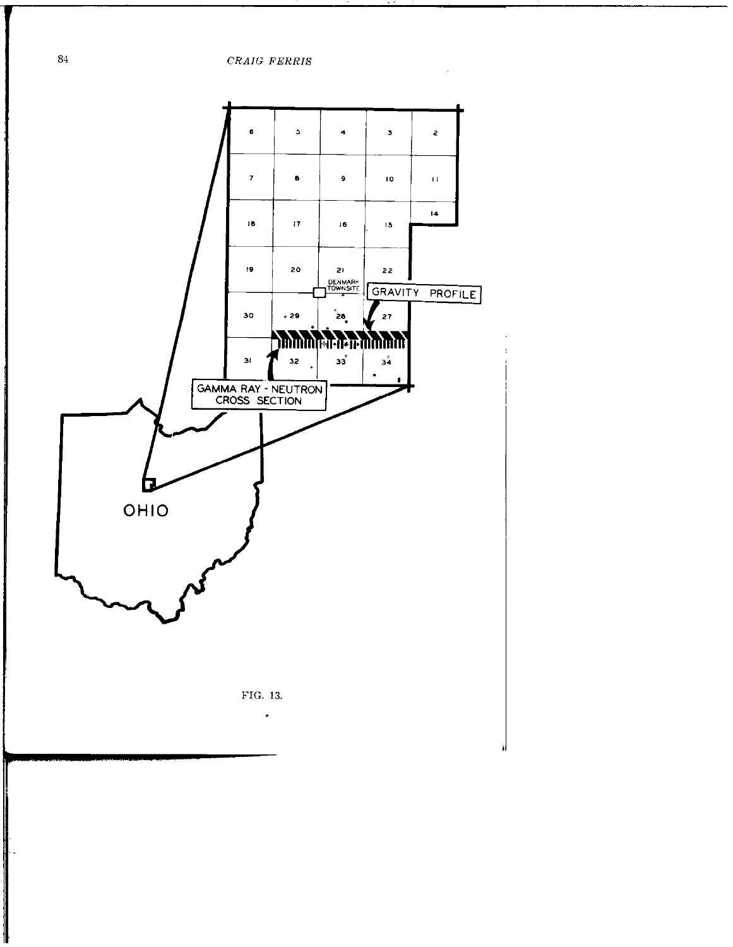$\it{CRAIG}$   $\it{FERRIS}$ 



 ${\bf 84}$ 

 $\frac{1}{2}$  , and the second construction of the second construction of the second construction of the second construction of the second construction of the second construction of the second construction of the second const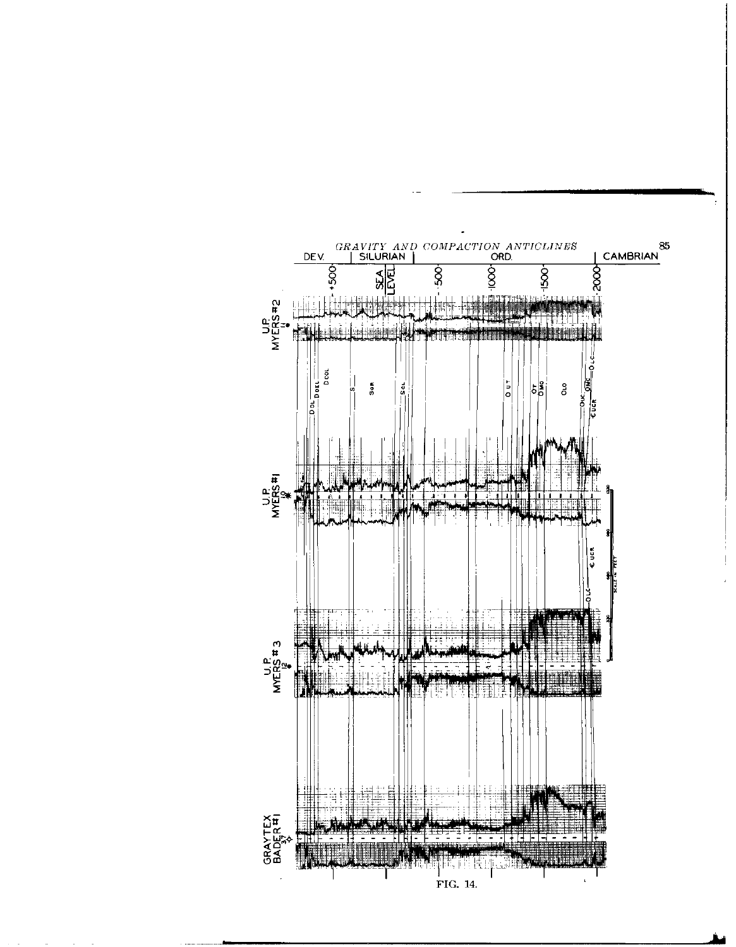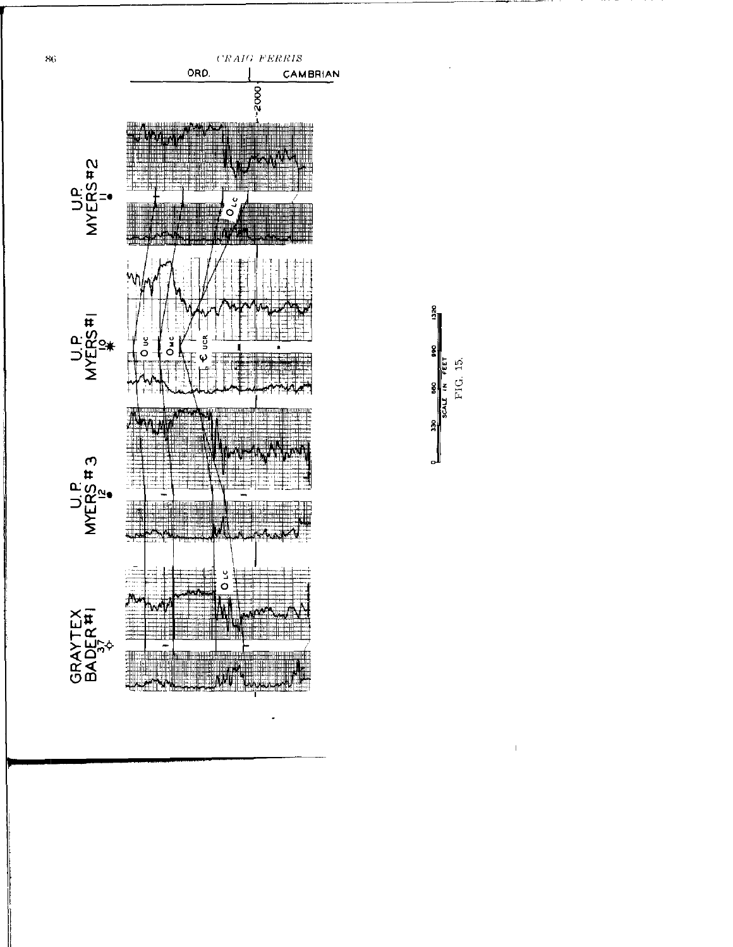

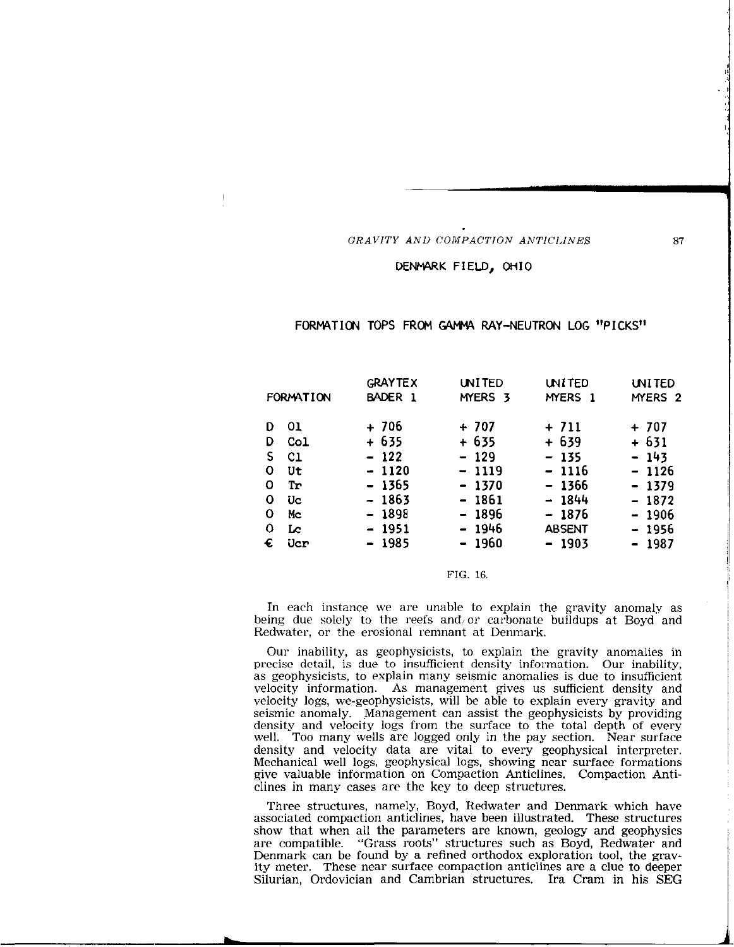### DENMARK FIELD, OHIO

 $\mathbf{I}$ 

## FORMATION TOPS FROM GAMMA RAY-NEUTRON LOG "PICKS"

|           |     | <b>GRAYTEX</b> | <b>UNITED</b> | <b>UNITED</b> | <b>UNITED</b>      |
|-----------|-----|----------------|---------------|---------------|--------------------|
| FORMATION |     | BADER 1        | MYERS 3       | MYERS 1       | MYERS <sub>2</sub> |
| D         | -01 | $+706$         | $+707$        | $+711$        | $+ 707$            |
| D         | Col | $+635$         | $+635$        | $+ 639$       | $+631$             |
| S.        | C1  | $-122$         | $-129$        | $-135$        | $-143$             |
| 0         | Ut  | $-1120$        | $-1119$       | $-1116$       | - 1126             |
| 0         | Tr  | - 1365         | $-1370$       | $-1366$       | $-1379$            |
| 0         | Uc  | - 1863         | - 1861        | $-1844$       | $-1872$            |
| 0         | Mc  | - 1898         | $-1896$       | $-1876$       | $-1906$            |
| 0         | Lc  | $-1951$        | $-1946$       | <b>ABSENT</b> | $-1956$            |
| €         | Ucr | - 1985         | $-1960$       | $-1903$       | $-1987$            |
|           |     |                |               |               |                    |

### FIG. 16.

In each instance we are unable to explain the gravity anomaly as being due solely to the reefs and or carbonate buildups at Boyd and Redwater, or the erosional remnant at Denmark.

Our inability, as geophysicists, to explain the gravity anomalies in precise detail, is due to insufficient density information. Our inability, as geophysicists, to explain many seismic anomalies is due to insufficient velocity information. As management gives us sufficient density and velocity logs, we-geophysicists, will be able to explain every gravity and seismic anomaly. Management can assist the geophysicists by providing density and velocity logs from the surface to the total depth of every well. Too many wells are logged only in the pay section. Near surface density and velocity data are vital to every geophysical interpreter. Mechanical well logs, geophysical logs, showing near surface formations give valuable information on Compaction Anticlines. Compaction Anticlines in many cases are the key to deep structures.

Three structures, namely, Boyd, Redwater and Denmark which have associated compaction anticlines, have been illustrated. These structures show that when all the parameters are known, geology and geophysics are compatible. "Grass roots" structures such as Boyd, Redwater and Denmark can be found by a refined orthodox exploration tool, the gravity meter. These near surface compaction anticlines are a clue to deeper Silurian, Ordovician and Cambrian structures. Ira Cram in his SEG I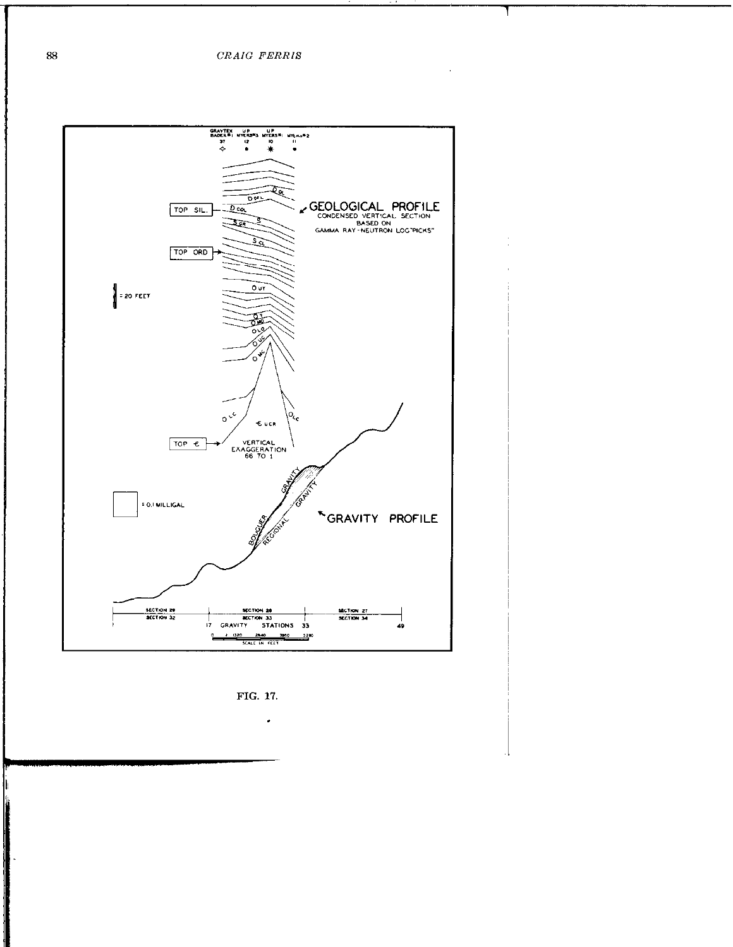$\ddot{\phantom{a}}$ 



FIG. 17.

 $\bullet$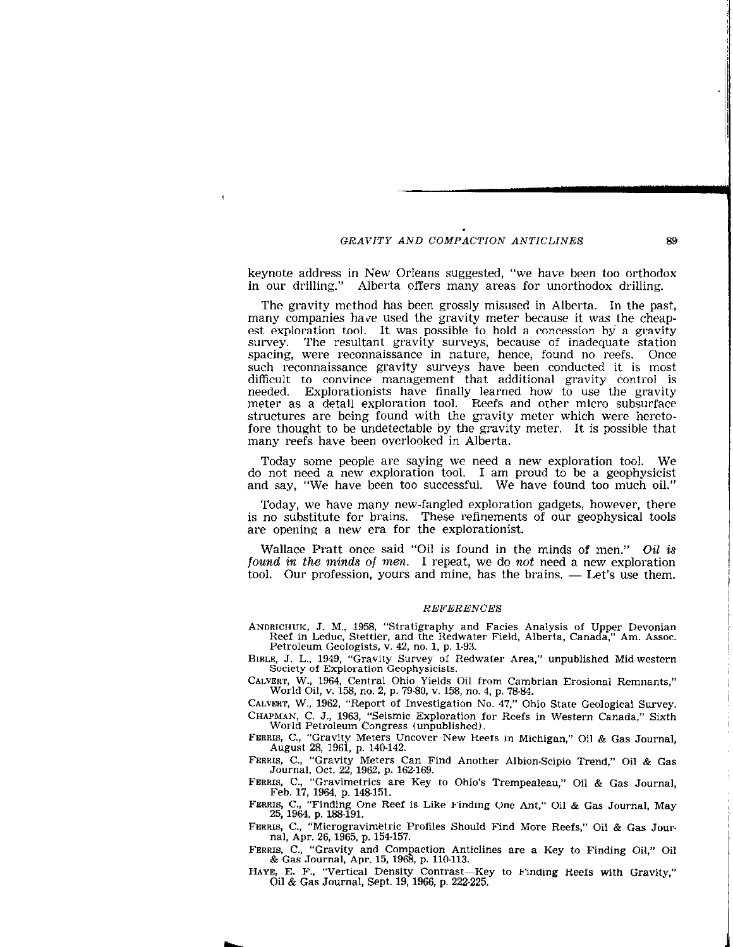$\mathbf{I}$ 

keynote address in New Orleans suggested, "we have been too orthodox in our drilling." Alberta offers many areas for unorthodox drilling.

The gravity method has been grossly misused in Alberta. In the past, many companies have used the gravity meter because it was the cheapest exploration tool. It was possible to hold a concession by a gravity survey. The resultant gravity surveys, because of inadequate station spacing, were reconnaissance in nature, hence, found no reefs. Once such reconnaissance gravity surveys have been conducted it is most difficult to convince management that additional gravity control is needed. Explorationists have finally learned how to use the gravit meter as a detail exploration tool. Reefs and other micro subsurface structures are being found with the gravity meter which were heretofore thought to be undetectable by the gravity meter. It is possible that many reefs have been overlooked in Alberta.

Today some people are saying we need a new exploration tool. We do not need a new exploration tool. I am proud to be a geophysicist and say, "We have been too successful. We have found too much oil."

Today, we have many new-fangled exploration gadgets, however, there is no substitute for brains. These refinements of our geophysical tools are opening a new era for the explorationist.

Wallace Pratt once said "Oil is found in the minds of men." Oil is found in the minds of men. I repeat, we do not need a new exploration tool. Our profession, yours and mine, has the brains. — Let's use them.

#### REFERENCES

ANDRICIIUK, J. M., 1958, "Stratigraphy and Facies Analysis of Upper Devonian Reef in Leduc, Stettler, and the Redwater Field, Alberta, Canada," Am. Assoc. Petroleum Geologists, v. 42, no. 1, p. 1-93.

BIBLE, J. L., 1949, "Gravity Survey of Redwater Area," unpublished Mid-western Society of Exploration Geophysicists.

CALYERT, W., 1964, Central Ohio Yields Oil from Cambrian Erosional Remnants," World Oil, Y. 158, no. 2, p. 79-80, Y. 158, no. 4, p. 78.84.

CALVERT, W., 1962, "Report of Investigation No. 47." Ohio State Geological Survey. CHAPMAN, C. J., 1963, "Seismic Exploration for Reefs in Western Canada," Sixth World Petroleum Congress (unpublished).

FERRIS, C., "Gravity Meters Uncover New Reefs in Michigan," Oil & Gas Journal, August 28, 1961, p. 140-142.

FERRIS, C., "Gravity Meters Can Find Another Albion-Scipio Trend," Oil & Gas Journal Oct. 22, 1962. p. 162-169.

FERRIS, C., "Gravimetrics are Key to Ohio's Trempealeau," Oil & Gas Journal, Feb. 17, 1964, p. 148.151.

FERRIS, C., "Finding One Reef is Like Finding One Ant," Oil & Gas Journal, May 25, 1964, p. 188-191.

FERRIS, C., "Microgravimktric Profiles Should Find More Reefs," Oil & Gas Jour. nal, Apr. 26, 1965, p. 154-157.

FERRIS, C., "Gravity and Compaction Anticlines are a Key to Finding Oil," Oil & Gas Journal, Apr. 15, 1968, p. 110.113.

HAYE, E. F., "Vertical Density Contrast-Key to Finding Reefs with Gravity," Oil & Gas Journal, Sept. 19,1966, p. 222.225.